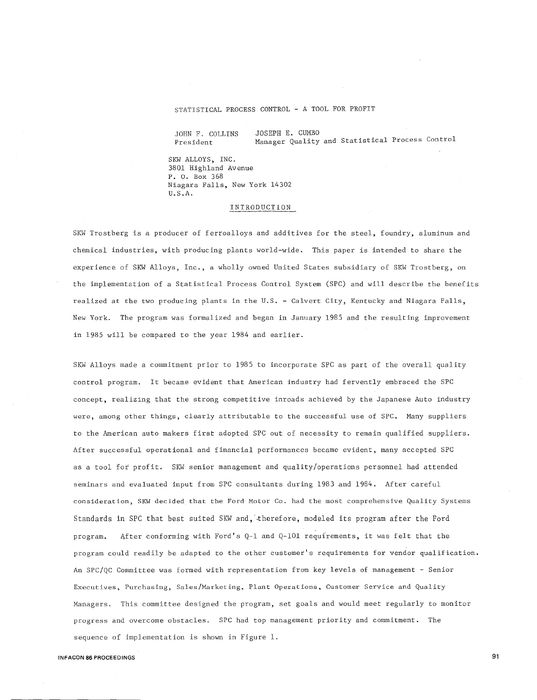## STATISTICAL PROCESS CONTROL - A TOOL FOR PROFIT

JOHN F. COLLINS President

JOSEPH E. CUMBO

Manager Quality and Statistical Process Control

SKW ALLOYS, INC. 3801 Highland Avenue P. O. Box 368 Niagara Falls, New York 14302 U.S.A.

### INTRODUCTION

SKW Trostberg is a producer of ferroalloys and additives for the steel, foundry, aluminum and chemical industries, with producing plants world-wide. This paper is intended to share the experience of SKW Alloys, Inc., a wholly owned United States subsidiary of SKW Trostberg, on the implementation of a Statistical Process Control System (SPC) and will describe the benefits realized at the two producing plants in the U.S. - Calvert City, Kentucky and Niagara Falls, New York. The program was formalized and began in January 1985 and the resulting improvement in 1985 will be compared to the year 1984 and earlier.

SKW Alloys made a commitment prior to 1985 to incorporate SPC as part of the overall quality control program. It became evident that American industry had fervently embraced the SPC concept, realizing that the strong competitive inroads achieved by the Japanese Auto industry were, among other things, clearly attributable to the successful use of SPC. Many suppliers to the American auto makers first adopted SPC out of necessity to remain qualified suppliers. After successful operational and financial performances became evident, many accepted SPC as a tool for profit. SKW senior management and quality/operations personnel had attended seminars and evaluated input from SPC consultants during 1983 and 1984. After careful consideration, SKW decided that the Ford Motor Co. had the most comprehensive Quality Systems Standards in SPC that best suited SKW and, therefore, modeled its program after the Ford program. After conforming with Ford's Q-1 and Q-101 requirements, it was felt that the program could readily be adapted to the other customer's requirements for vendor qualification. An SPC/QC Committee was formed with representation from key levels of management - Senior Executives, Purchasing, Sales/Marketing, Plant Operations, Customer Service and Quality Managers. This committee designed the program, set goals and would meet regularly to monitor progress and overcome obstacles. SPC had top management priority and commitment. The sequence of implementation is shown in Figure 1.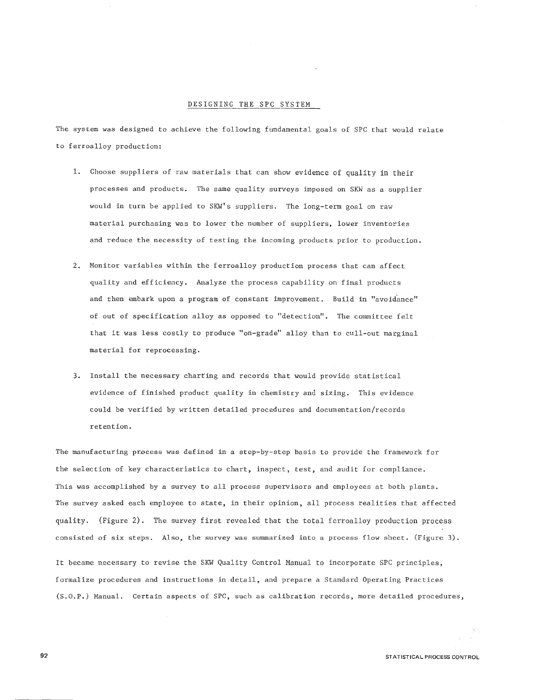#### DESIGNING THE SPC SYSTEM

The system was designed to achieve the following fundamental goals of SPC that would relate to ferroalloy production:

- 1. Choose suppliers of raw materials that can show evidence of quality in their processes and products. The same quality surveys imposed on SKW as a supplier would in turn be applied to SKW's suppliers. The long-term goal on raw material purchasing was to lower the number of suppliers, lower inventories and reduce the necessity of testing the incoming products prior to production.
- 2. Monitor variables within the ferroalloy production process that can affect quality and efficiency. Analyze the process capability on final products and then embark upon a program of constant improvement. Build in "avoidance" of out of specification alloy as opposed to "detection". The committee felt that it was less costly to produce "on-grade" alloy than to cull-out marginal material for reprocessing.
- 3. Install the necessary charting and records that would provide statistical evidence of finished product quality in chemistry and sizing. This evidence could be verified by written detailed procedures and documentation/records retention.

The manufacturing process was defined in a step-by-step basis to provide the framework for the selection of key characteristics to chart, inspect, test, and audit for compliance. This was accomplished by a survey to all process supervisors and employees at both plants. The survey asked each employee to state, in their opinion, all process realities that affected quality. (Figure 2). The survey first revealed that the total ferroalloy production process consisted of six steps. Also, the survey was summarized into a process flow sheet. (Figure 3).

It became necessary to revise the SKW Quality Control Manual to incorporate SPC principles, formalize procedures and instructions in detail, and prepare a Standard Operating Practices (S.O.P.) Manual. Certain aspects of SPC, such as calibration records, more detailed procedures,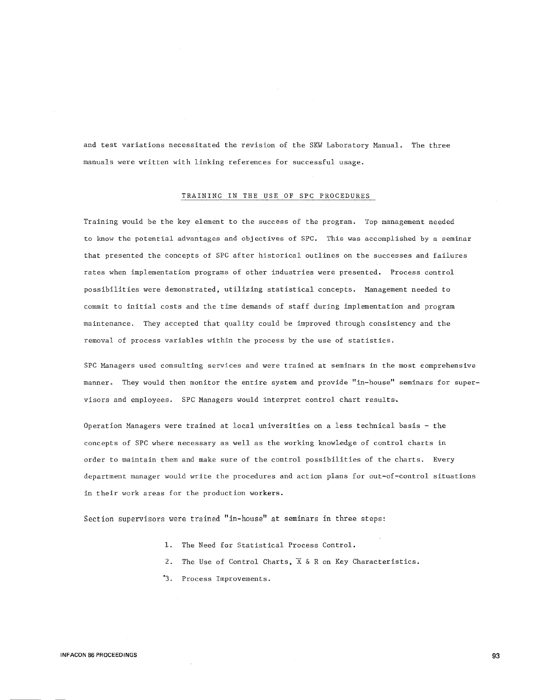and test variations necessitated the revision of the SKW Laboratory Manual. The three manuals were written with linking references for successful usage.

## TRAINING IN THE USE OF SPC PROCEDURES

Training would be the key element to the success of the program. Top management needed to know the potential advantages and objectives of SPC. This was accomplished by a seminar that presented the concepts of SPC after historical outlines on the successes and failures rates when implementation programs of other industries were presented. Process control possibilities were demonstrated, utilizing statistical concepts. Management needed to commit to initial costs and the time demands of staff during implementation and program maintenance. They accepted that quality could be improved through consistency and the removal of process variables within the process by the use of statistics.

SPC Managers used consulting services and were trained at seminars in the most comprehensive manner. They would then monitor the entire system and provide "in-house" seminars for supervisors and employees. SPC Managers would interpret control chart results.

Operation Managers were trained at local universities on a less technical basis - the concepts of SPC where necessary as well as the working knowledge of control charts in order to maintain them and make sure of the control possibilities of the charts. Every department manager would write the procedures and action plans for out-of-control situations in their work areas for the production workers.

Section supervisors were trained "in-house" at seminars in three steps:

- 1. The Need for Statistical Process Control.
- 2. The Use of Control Charts,  $\overline{X}$  & R on Key Characteristics.
- "3. Process Improvements.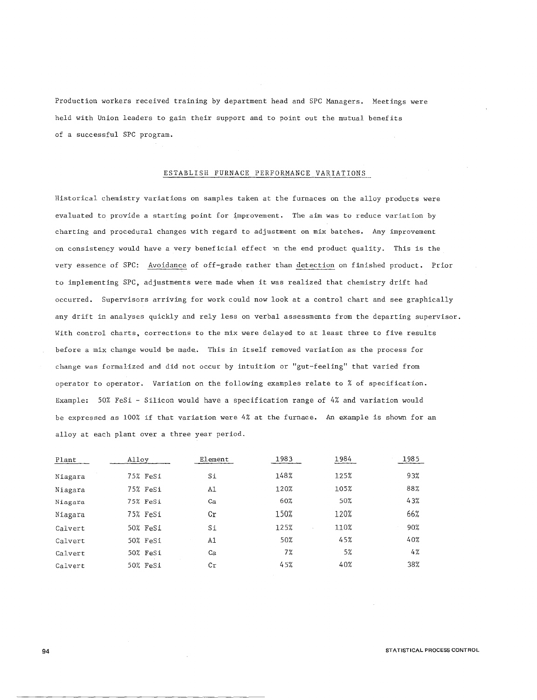Production workers received training by department head and SPC Managers. Meetings were held with Union leaders to gain their support and to point out the mutual benefits of a successful SPC program.

## ESTABLISH FURNACE PERFORMANCE VARIATIONS

Historical chemistry variations on samples taken at the furnaces on the alloy products were evaluated to provide a starting point for improvement. The aim was to reduce variation by charting and procedural changes with regard to adjustment on mix batches. Any improvement on consistency would have a very beneficial effect on the end product quality. This is the very essence of SPC: Avoidance of off-grade rather than detection on finished product. Prior to implementing SPC, adjustments were made when it was realized that chemistry drift had occurred. Supervisors arriving for work could now look at a control chart and see graphically any drift in analyses quickly and rely less on verbal assessments from the departing supervisor. With control charts, corrections to the mix were delayed to at least three to five results before a mix change would be made. This in itself removed variation as the process for change was formalized and did not occur by intuition or "gut-feeling" that varied from operator to operator. Variation on the following examples relate to % of specification. Example: 50% FeSi - Silicon would have a specification range of 4% and variation would be expressed as 100% if that variation were 4% at the furnace. An example is shown for an alloy at each plant over a three year period.

| Plant   | Alloy    | Element             | 1983 | 1984 | 1985 |
|---------|----------|---------------------|------|------|------|
| Niagara | 75% FeSi | Si                  | 148% | 125% | 93%  |
| Niagara | 75% FeSi | Al                  | 120% | 105% | 88%  |
| Niagara | 75% FeSi | Ca                  | 60%  | 50%  | 43%  |
| Niagara | 75% FeSi | $\operatorname{Cr}$ | 150% | 120% | 66%  |
| Calvert | 50% FeSi | Si                  | 125% | 110% | 90%  |
| Calvert | 50% FeSi | A1                  | 50%  | 45%  | 40%  |
| Calvert | 50% FeSi | Ca                  | 7%   | 5%   | 4%   |
| Calvert | 50% FeSi | Cr                  | 45%  | 40%  | 38%  |
|         |          |                     |      |      |      |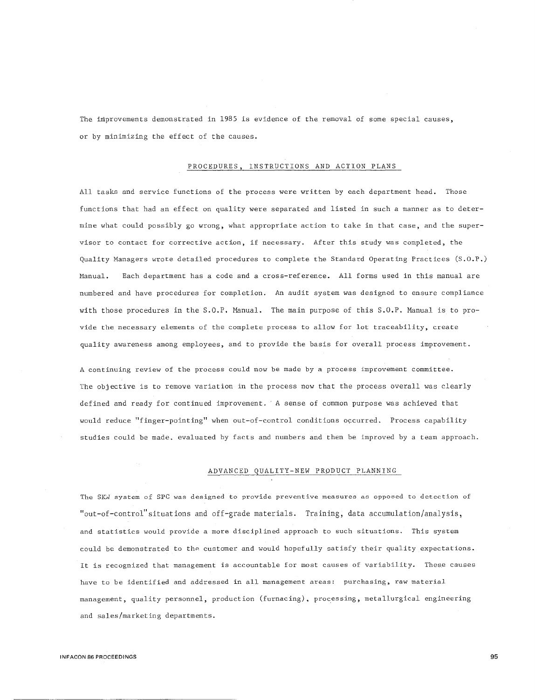The improvements demonstrated in 1985 is evidence of the removal of some special causes, or by minimizing the effect of the causes.

### PROCEDURES, INSTRUCTIONS AND ACTION PLANS

All tasks and service functions of the process were written by each department head. Those functions that had an effect on quality were separated and listed in such a manner as to determine what could possibly go wrong, what appropriate action to take in that case, and the supervisor to contact for corrective action, if necessary. After this study was completed, the Quality Managers wrote detailed procedures to complete the Standard Operating Practices (S.O.P.) Manual. Each department has a code and a cross-reference. All forms used in this manual are numbered and have procedures for completion. An audit system was designed to ensure compliance with those procedures in the S.O.P. Manual. The main purpose of this S.O.P. Manual is to provide the necessary elements of the complete process to allow for lot traceability, create quality awareness among employees, and to provide the basis for overall process improvement.

A continuing review of the process could now be made by a process improvement committee. The objective is to remove variation in the process now that the process overall was clearly defined and ready for continued improvement. A sense of common purpose was achieved that would reduce "finger-pointing" when out-of-control conditions occurred. Process capability studies could be made. evaluated by facts and numbers and then be improved by a team approach.

## ADVANCED QUALITY-NEW PRODUCT PLANNING

The SKW system of SPC was designed to provide preventive measures as opposed to detection of "out-of-control" situations and off-grade materials. Training, data accumulation/analysis, and statistics would provide a more disciplined approach to such situations. This system could be demonstrated to the customer and would hopefully satisfy their quality expectations. It is recognized that management is accountable for most causes of variability. These causes have to be identified and addressed in all management areas: purchasing, raw material management, quality personnel, production (furnacing), processing, metallurgical engineering and sales/marketing departments.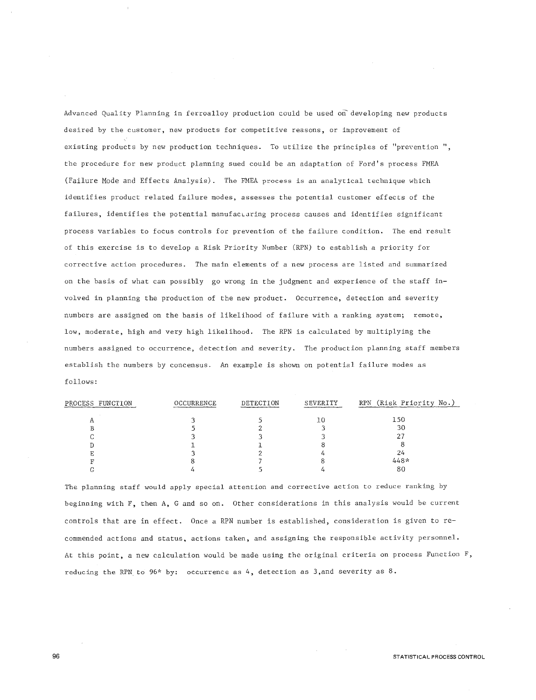Advanced Quality Planning in ferroalloy production could be used on developing new products desired by the customer, new products for competitive reasons, or improvement of existing products by new production techniques. To utilize the principles of "prevention ", the procedure for new product planning sued could be an adaptation of Ford's process FMEA (Failure Mode and Effects Analysis). The FMEA process is an analytical technique which identifies product related failure modes, assesses the potential customer effects of the failures, identifies the potential manufacturing process causes and identifies significant process variables to focus controls for prevention of the failure condition. The end result of this exercise is to develop a Risk Priority Number (RPN) to establish a priority for corrective action procedures. The main elements of a new process are listed and summarized on the basis of what can possibly go wrong in the judgment and experience of the staff invalved in planning the production of the new product. Occurrence, detection and severity numbers are assigned on the basis of likelihood of failure with a ranking system; remote, low, moderate, high and very high likelihood. The RPN is calculated by multiplying the numbers assigned to occurrence, detection and severity. The production planning staff members establish the numbers by concensus. An example is shown on potential failure modes as follows:

| PROCESS FUNCTION | OCCURRENCE | DETECTION | SEVERITY | RPN (Risk Priority No.) |
|------------------|------------|-----------|----------|-------------------------|
|                  |            |           | 10       | 150                     |
|                  |            |           |          | 30                      |
|                  |            |           |          |                         |
|                  |            |           |          |                         |
|                  |            |           |          | 24                      |
|                  |            |           |          | $448*$                  |
|                  |            |           |          | 80                      |
|                  |            |           |          |                         |

The planning staff would apply special attention and corrective action to reduce ranking by beginning with F, then A, G and so on. Other considerations in this analysis would be current controls that are in effect. Once a RPN number is established, consideration is given to recommended actions and status, actions taken, and assigning the responsible activity personnel. At this point, a new calculation would be made using the original criteria on process Function F, reducing the RPN to  $96*$  by: occurrence as 4, detection as 3, and severity as 8.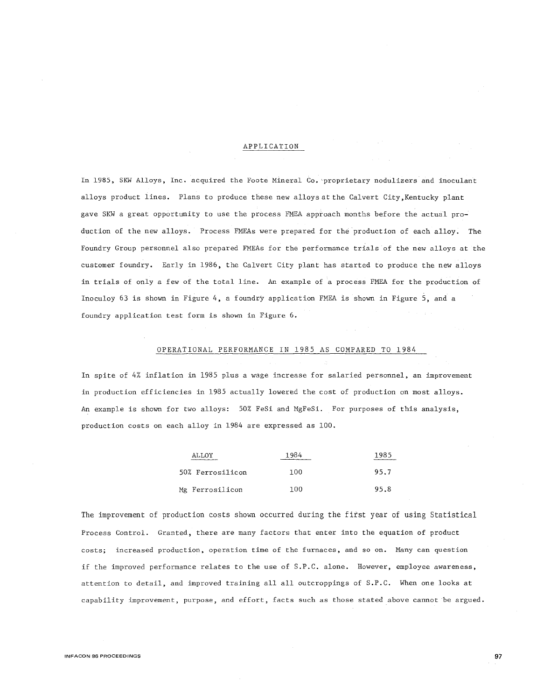## APPLICATION

In 1985, SKW Alloys, Inc. acquired the Foote Mineral Co. "proprietary nodulizers and inoculant alloys product lines. Plans to produce these new alloys at the Calvert City,Kentucky plant gave SKW a great opportunity to use the process FMEA approach months before the actual production of the new alloys. Process FMEAs were prepared for the production of each alloy. The Foundry Group personnel also prepared FMEAs for the performance trials of the new alloys at the customer foundry. Early in 1986, the Calvert City plant has started to produce the new alloys in trials of only a few of the total line. An example of a process FMEA for the production of Inoculoy 63 is shown in Figure 4, a foundry application FMEA is shown in Figure 5, and a foundry application test form is shown in Figure 6.

## OPERATIONAL PERFORMANCE IN 1985 AS COMPARED TO 1984

In spite of 4% inflation in 1985 plus a wage increase for salaried personnel, an improvement in production efficiencies in 1985 actually lowered the cost of production on most alloys. An example is shown for two alloys: 50% FeSi and MgFeSi. For purposes of this analysis, production costs on each alloy in 1984 are expressed as 100.

| ALLOY            | 1984 | 1985 |
|------------------|------|------|
| 50% Ferrosilicon | 100  | 95.7 |
| Mg Ferrosilicon  | 100  | 95.8 |

The improvement of production costs shown occurred during the first year of using Statistical Process Control. Granted, there are many factors that enter into the equation of product costs; increased production, operation time of the furnaces, and so on. Many can question if the improved performance relates to the use of S.P.C. alone. However, employee awareness, attention to detail, and improved training all all outcroppings of S.P.C. When one looks at capability improvement, purpose, and effort, facts such as those stated above cannot be argued.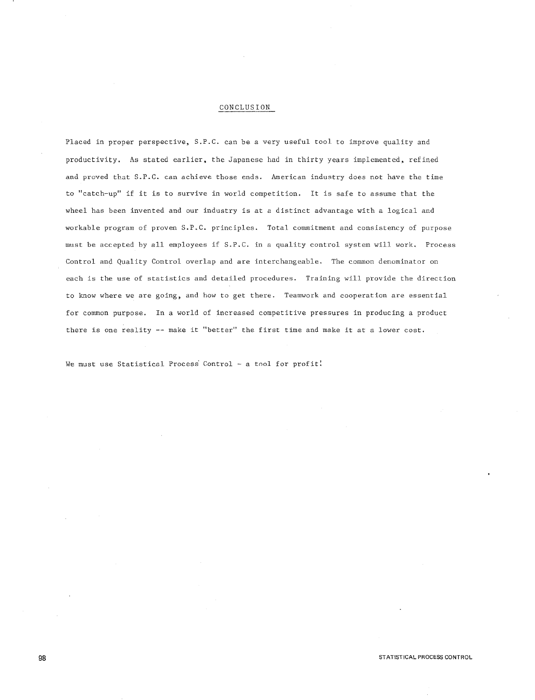### CONCLUSION

Placed in proper perspective, S.P.C. can be a very useful tool to improve quality and productivity. As stated earlier, the Japanese had in thirty years implemented, refined and proved that S.P.C. can achieve those ends. American industry does not have the time to "catch-up" if it is to survive in world competition. It is safe to assume that the wheel has been invented and our industry is at a distinct advantage with a logical and workable program of proven S.P.C. principles. Total commitment and consistency of purpose must be accepted by all employees if S.P.C. in a quality control system will work. Process Control and Quality Control overlap and are interchangeable. The common denominator on each is the use of statistics and detailed procedures. Training will provide the direction to know where we are going, and how to get there. Teamwork and cooperation are essential for common purpose. In a world of increased competitive pressures in producing a product there is one reality -- make it "better" the first time and make it at a lower cost.

We must use Statistical Process Control - a tool for profit!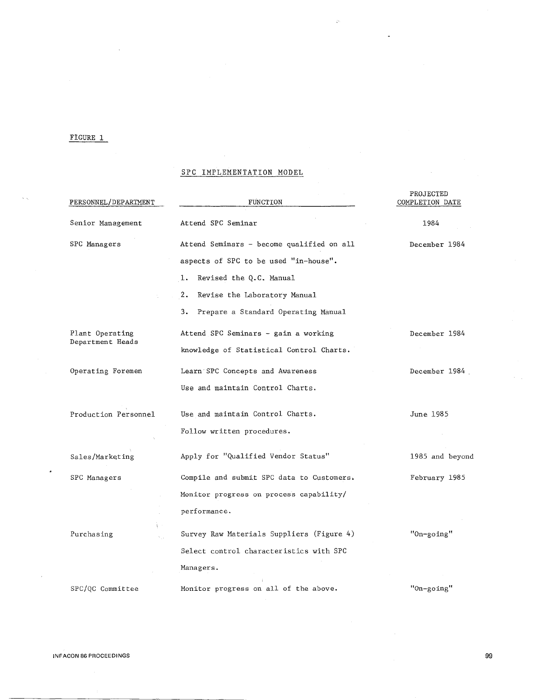## FIGURE 1

 $\hat{\lambda}$  is

## SPC IMPLEMENTATION MODEL

 $\ddot{\zeta}$ 

| PERSONNEL/DEPARTMENT | FUNCTION                                  | PROJECTED<br>COMPLETION DATE |
|----------------------|-------------------------------------------|------------------------------|
| Senior Management    | Attend SPC Seminar                        | 1984                         |
| SPC Managers         | Attend Seminars - become qualified on all | December 1984                |
|                      | aspects of SPC to be used "in-house".     |                              |
|                      | ı.<br>Revised the Q.C. Manual             |                              |
|                      | 2.<br>Revise the Laboratory Manual        |                              |
|                      | з.<br>Prepare a Standard Operating Manual |                              |
| Plant Operating      | Attend SPC Seminars - gain a working      | December 1984                |
| Department Heads     | knowledge of Statistical Control Charts.  |                              |
| Operating Foremen    | Learn SPC Concepts and Awareness          | December 1984                |
|                      | Use and maintain Control Charts.          |                              |
| Production Personnel | Use and maintain Control Charts.          | June 1985                    |
|                      | Follow written procedures.                |                              |
| Sales/Marketing      | Apply for "Qualified Vendor Status"       | 1985 and beyond              |
| SPC Managers         | Compile and submit SPC data to Customers. | February 1985                |
|                      | Monitor progress on process capability/   |                              |
|                      | performance.                              |                              |
| Purchasing           | Survey Raw Materials Suppliers (Figure 4) | "On-going"                   |
|                      | Select control characteristics with SPC   |                              |
|                      | Managers.                                 |                              |
| SPC/OC Committee     | Monitor progress on all of the above.     | "On-going"                   |

J,

 $\hat{\boldsymbol{\gamma}}$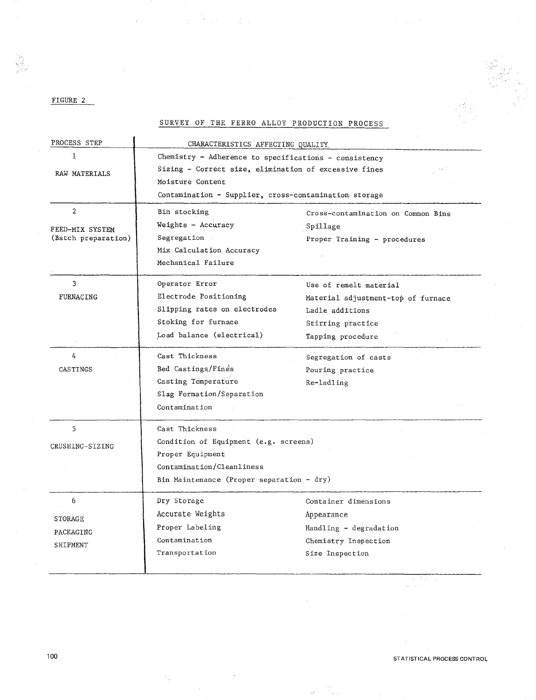FIGURE 2

SURVEY OF THE FERRO ALLOY PRODUCTION PROCESS

 $\mathcal{L}_{\text{max}}$ 

in 1972.<br>Ngjarje

| PROCESS STEP        | CHARACTERISTICS AFFECTING QUALITY.                    |                                    |  |  |  |  |  |
|---------------------|-------------------------------------------------------|------------------------------------|--|--|--|--|--|
| Ί.                  | Chemistry - Adherence to specifications - consistency |                                    |  |  |  |  |  |
| RAW MATERIALS       | Sizing - Correct size, elimination of excessive fines |                                    |  |  |  |  |  |
|                     | Moisture Content                                      |                                    |  |  |  |  |  |
|                     | Contamination - Supplier, cross-contamination storage |                                    |  |  |  |  |  |
| $\overline{2}$      | Bin stocking                                          | Cross-contamination on Common Bins |  |  |  |  |  |
| FEED-MIX SYSTEM     | Weights - Accuracy                                    | Spillage                           |  |  |  |  |  |
| (Batch preparation) | Segregation                                           | Proper Training - procedures       |  |  |  |  |  |
|                     | Mix Calculation Accuracy                              |                                    |  |  |  |  |  |
|                     | Mechanical Failure                                    |                                    |  |  |  |  |  |
| 3                   | Operator Error                                        | Use of remelt material             |  |  |  |  |  |
| FURNACING           | Electrode Positioning                                 | Material adjustment-top of furnace |  |  |  |  |  |
|                     | Slipping rates on electrodes                          | Ladle additions                    |  |  |  |  |  |
|                     | Stoking for furnace                                   | Stirring practice                  |  |  |  |  |  |
|                     | Load balance (electrical)                             |                                    |  |  |  |  |  |
| 4                   | Cast Thickness                                        | Segregation of casts               |  |  |  |  |  |
| CASTINGS            | Bed Castings/Fines                                    | Pouring practice                   |  |  |  |  |  |
|                     | Casting Temperature                                   | Re-ladling                         |  |  |  |  |  |
|                     | Slag Formation/Separation                             |                                    |  |  |  |  |  |
|                     | Contamination                                         |                                    |  |  |  |  |  |
| 5                   | Cast Thickness                                        |                                    |  |  |  |  |  |
| CRUSHING-SIZING     | Condition of Equipment (e.g. screens)                 |                                    |  |  |  |  |  |
|                     | Proper Equipment                                      |                                    |  |  |  |  |  |
|                     | Contamination/Cleanliness                             |                                    |  |  |  |  |  |
|                     | Bin Maintenance (Proper separation - dry)             |                                    |  |  |  |  |  |
| 6                   | Dry Storage                                           | Container dimensions               |  |  |  |  |  |
| STORAGE             | Accurate Weights                                      | Appearance                         |  |  |  |  |  |
| PACKAGING           | Proper Labeling                                       | Handling - degradation             |  |  |  |  |  |
| SHIPMENT            | Contamination                                         | Chemistry Inspection               |  |  |  |  |  |
|                     | Transportation                                        | Size Inspection                    |  |  |  |  |  |
|                     |                                                       |                                    |  |  |  |  |  |

STATISTICAL PROCESS CONTROL

41 - J

 $\sim 1$ Å.

 $\frac{1}{2}$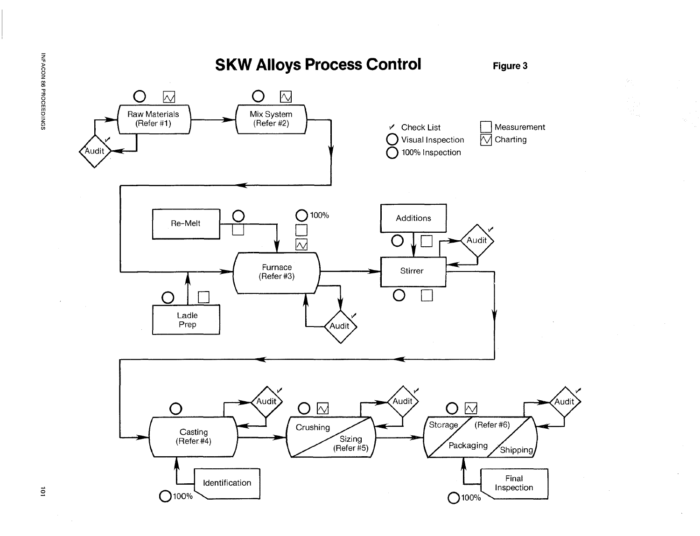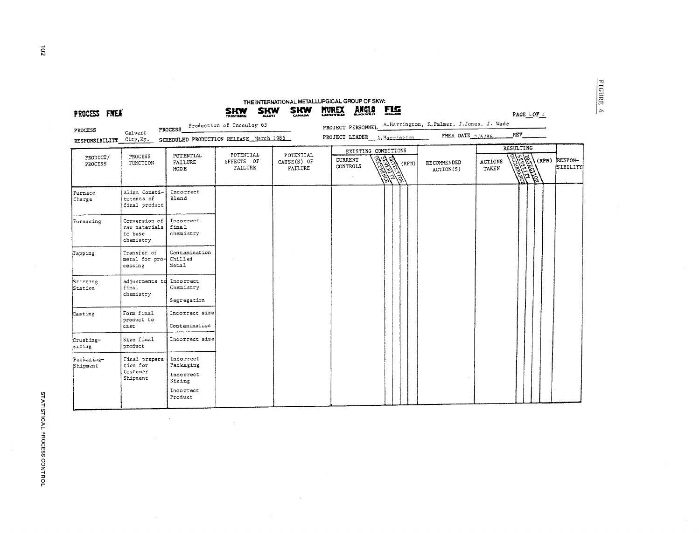| PROCESS FMEX                        |                                                        | PROCESS                                                               | <b>SHW</b><br><b>SHW</b><br>Production of Inoculoy 63 | <b>SKW</b>                          | THE INTERNATIONAL METALLURGICAL GROUP OF SKW:<br><b>ANGLO</b><br><b>MUREX</b> | <u>FLG</u>                                                        | PROJECT PERSONNEL A.Harrington, K.Palmer, J.Jones, J. Wade |                         | PAGE 1 OF 1                                    |                            |
|-------------------------------------|--------------------------------------------------------|-----------------------------------------------------------------------|-------------------------------------------------------|-------------------------------------|-------------------------------------------------------------------------------|-------------------------------------------------------------------|------------------------------------------------------------|-------------------------|------------------------------------------------|----------------------------|
| PROCESS<br>RESPONSIBILITY City, Ky. | Calvert                                                |                                                                       | SCHEDULED PRODUCTION RELEASE March 1986               |                                     | PROJECT LEADER A. Harrington                                                  |                                                                   | FMEA DATE $2/6/86$                                         |                         | REV                                            |                            |
| PRODUCT/<br>PROCESS                 | PROCESS<br>FUNCTION                                    | POTENTIAL<br>FAILURE<br>MODE                                          | POTENTIAL<br>EFFECTS OF<br><b>FAILURE</b>             | POTENTIAL<br>CAUSE(S) OF<br>FAILURE | <b>CURRENT</b><br>CONTROLS                                                    | EXISTING CONDITIONS<br>隐<br>(RPN)<br>$\widehat{\mathbb{Q}}$<br>学习 | RECOMMENDED<br>ACTION(S)                                   | <b>ACTIONS</b><br>TAKEN | <b>RESULTING</b><br><b>CONTROLLER</b><br>(RPN) | RESPON-<br><b>SIBILITY</b> |
| Furnace<br>Charge                   | Align Consti-<br>tutents of<br>final product           | Incorrect<br><b>Blend</b>                                             |                                                       |                                     |                                                                               |                                                                   |                                                            |                         |                                                |                            |
| Furnacing                           | Conversion of<br>raw materials<br>to base<br>chemistry | Incorrect<br>final<br>chemistry                                       |                                                       |                                     |                                                                               |                                                                   |                                                            |                         |                                                |                            |
| Tapping                             | Transfer of<br>metal for pro-<br>cessing               | Contamination<br>Chilled<br>Metal                                     |                                                       |                                     |                                                                               |                                                                   |                                                            |                         |                                                |                            |
| Stirring<br>Station                 | Adjustments td<br>final<br>chemistry                   | Incorrect<br>Chemistry<br>Segregation                                 |                                                       |                                     |                                                                               |                                                                   |                                                            |                         |                                                |                            |
| Casting                             | Form final<br>product to<br>cast                       | Incorrect size<br>Contamination                                       |                                                       |                                     |                                                                               |                                                                   |                                                            |                         |                                                |                            |
| Crushing-<br><b>Sizing</b>          | Size final<br>product                                  | Incorrect size                                                        |                                                       |                                     |                                                                               |                                                                   |                                                            |                         |                                                |                            |
| Packaging-<br>Shipment              | Final prepara-<br>tion for<br>Customer<br>Shipment     | Incorrect<br>Packaging<br>Incorrect<br>Sizing<br>Incorrect<br>Product |                                                       |                                     |                                                                               |                                                                   |                                                            |                         |                                                |                            |

FIGURE 4

 $\vec{5}$ 

 $\hat{\mathcal{L}}$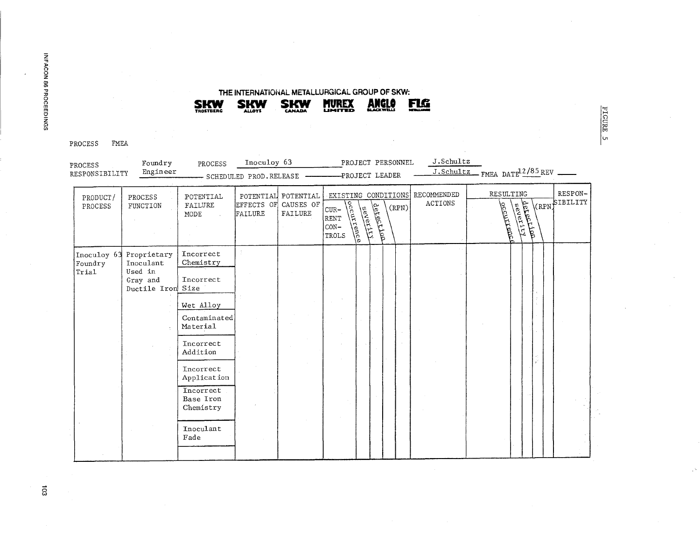PROCESS FMEA

| PROCESS<br>RESPONSIBILITY | Foundry<br>Engineer                                                              | PROCESS                                                                                                                           | Inoculoy 63<br>- SCHEDULED PROD.RELEASE - |                                                        | PROJECT PERSONNEL<br>-PROJECT LEADER                                                                                        | J.Schultz<br>J.Schultz                 | FMEA DATE <sup>12/85</sup> REV                                   |                           |
|---------------------------|----------------------------------------------------------------------------------|-----------------------------------------------------------------------------------------------------------------------------------|-------------------------------------------|--------------------------------------------------------|-----------------------------------------------------------------------------------------------------------------------------|----------------------------------------|------------------------------------------------------------------|---------------------------|
| PRODUCT/<br>PROCESS       | PROCESS<br>FUNCTION                                                              | POTENTIAL<br>FAILURE<br><b>MODE</b>                                                                                               | FAILURE                                   | POTENTIAL POTENTIAL<br>EFFECTS OF CAUSES OF<br>FAILURE | EXISTING CONDITIONS<br><u>Joccurrence</u><br>الملألمان وأعامه<br><b>REVELLE</b><br>$CUR-$<br><b>RENT</b><br>$CON-$<br>TROLS | RECOMMENDED<br><b>ACTIONS</b><br>(RPN) | RESULTING<br><b>RITISHAD</b><br>COLLEGED LA<br><b>PEREDIGEDE</b> | RESPON-<br>(RPN) SIBILITY |
| Foundry<br>Trial          | Inoculoy 63 Proprietary<br>Inoculant<br>Used in<br>Gray and<br>Ductile Iron Size | Incorrect<br>Chemistry<br>Incorrect<br>Wet Alloy<br>Contaminated<br>Material<br>Incorrect<br>Addition<br>Incorrect<br>Application |                                           |                                                        |                                                                                                                             |                                        |                                                                  |                           |
|                           |                                                                                  | Incorrect<br>Base Iron<br>Chemistry<br>Inoculant<br>Fade                                                                          |                                           |                                                        |                                                                                                                             |                                        |                                                                  |                           |

# THE INTERNATIONAL METALLURGICAL GROUP OF SKW:

**MUREX** 

ANGLO

FLG

FIGURE 5

**SKW** 

**SKW** 

**SKW**<br>TROSTBERG

 $\vec{a}$